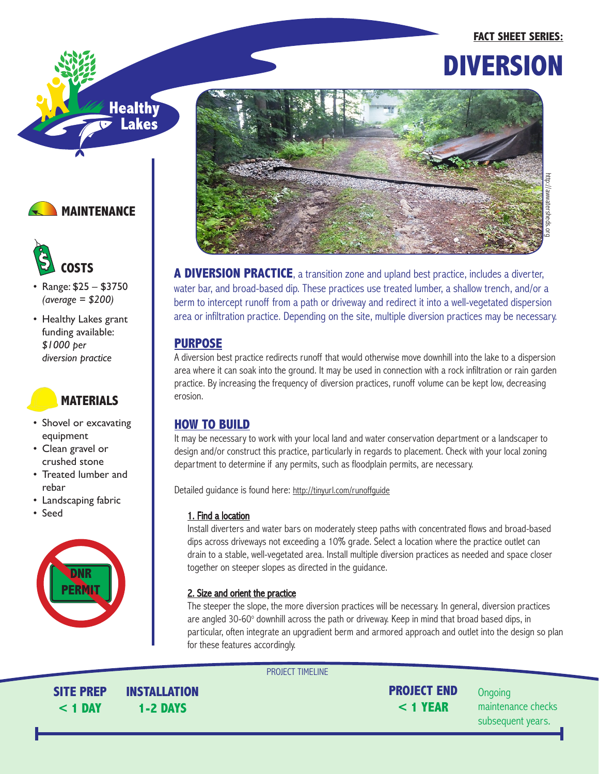### **FACT SHEET SERIES:**









- Range: \$25 \$3750 *(average = \$200)*
- Healthy Lakes grant funding available: *\$1000 per diversion practice*

# **MATERIALS**

- Shovel or excavating equipment
- Clean gravel or crushed stone
- Treated lumber and rebar
- Landscaping fabric
- Seed





**A DIVERSION PRACTICE**, a transition zone and upland best practice, includes a diverter, water bar, and broad-based dip. These practices use treated lumber, a shallow trench, and/or a berm to intercept runoff from a path or driveway and redirect it into a well-vegetated dispersion area or infiltration practice. Depending on the site, multiple diversion practices may be necessary.

## **PURPOSE**

A diversion best practice redirects runoff that would otherwise move downhill into the lake to a dispersion area where it can soak into the ground. It may be used in connection with a rock infiltration or rain garden practice. By increasing the frequency of diversion practices, runoff volume can be kept low, decreasing erosion.

# **HOW TO BUILD**

It may be necessary to work with your local land and water conservation department or a landscaper to design and/or construct this practice, particularly in regards to placement. Check with your local zoning department to determine if any permits, such as floodplain permits, are necessary.

Detailed guidance is found here: http://tinyurl.com/runoffguide

### 1. Find a location

Install diverters and water bars on moderately steep paths with concentrated flows and broad-based dips across driveways not exceeding a 10% grade. Select a location where the practice outlet can drain to a stable, well-vegetated area. Install multiple diversion practices as needed and space closer together on steeper slopes as directed in the guidance.

### 2. Size and orient the practice

The steeper the slope, the more diversion practices will be necessary. In general, diversion practices are angled 30-60° downhill across the path or driveway. Keep in mind that broad based dips, in particular, often integrate an upgradient berm and armored approach and outlet into the design so plan for these features accordingly.

PROJECT TIMELINE

**SITE PREP < 1 DAY**

**INSTALLATION 1-2 DAYS**

**PROJECT END < 1 YEAR**

**Ongoing** maintenance checks subsequent years.